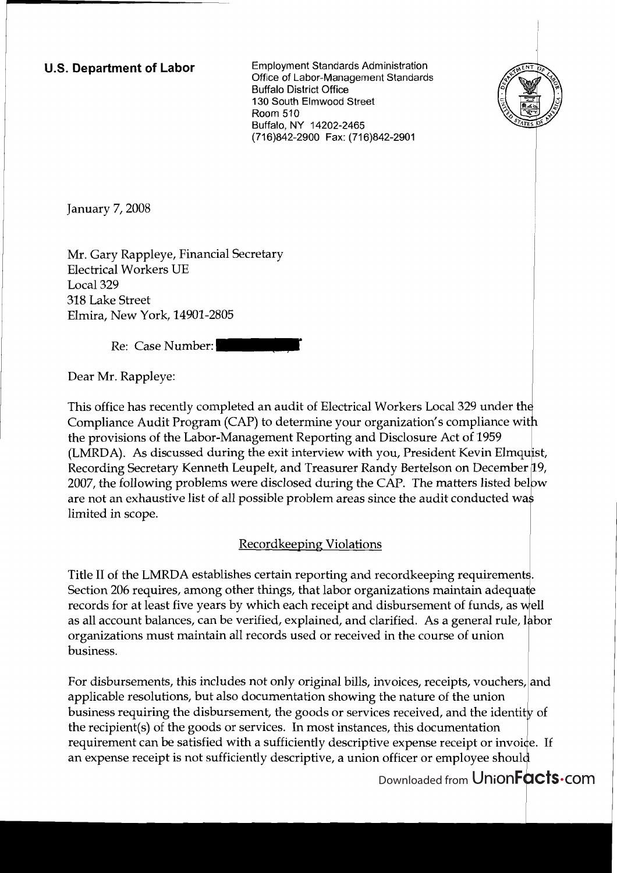**U.S. Department of Labor** Employment Standards Administration Office of Labor-Management Standards Buffalo District Office 130 South Elmwood Street Room 510 Buffalo, NY 14202-2465 (716)842-2900 Fax: (716)842-2901



January 7, 2008

Mr. Gary Rappleye, Financial Secretary Electrical Workers UE Local 329 318 Lake Street Elmira, New York, 14901-2805

Re: Case Number:

Dear Mr. Rappleye:

This office has recently completed an audit of Electrical Workers Local 329 under th Compliance Audit Program (CAP) to determine your the provisions of the Labor-Management Reporting and Disclosure Act of 1959 (LMRDA). As discussed during the exit interview with you, President Kevin Recording Secretary Kenneth Leupelt, and Treasurer Randy Bertelson on 2007, the following problems were disclosed during the CAP. The matters listed below are not an exhaustive list of all possible problem areas since the audit conducted wa limited in scope.

## Recordkeeping Violations

Title II of the LMRDA establishes certain reporting and recordkeeping requirements. Section 206 requires, among other things, that labor organizations maintain adequate records for at least five years by which each receipt and disbursement of funds, as well as all account balances, can be verified, explained, and clarified. As a general rule, labor organizations must maintain all records used or received in the course of union business requires, anticing other aimigs, and these erganizations manifest range precords for at least five years by which each receipt and disbursement of funds, as well<br>as all account balances, can be verified, explained

For disbursements, this includes not only original bills, invoices, receipts, vouchers, and applicable resolutions, but also documentation showing the nature of the union business requiring the disbursement, the goods or services received, and the recipient(s) of the goods or services. In most instances, this documentation requirement can be satisfied with a sufficiently descriptive expense receipt or invoice. If an expense receipt is not sufficiently descriptive, a union officer or employee shoul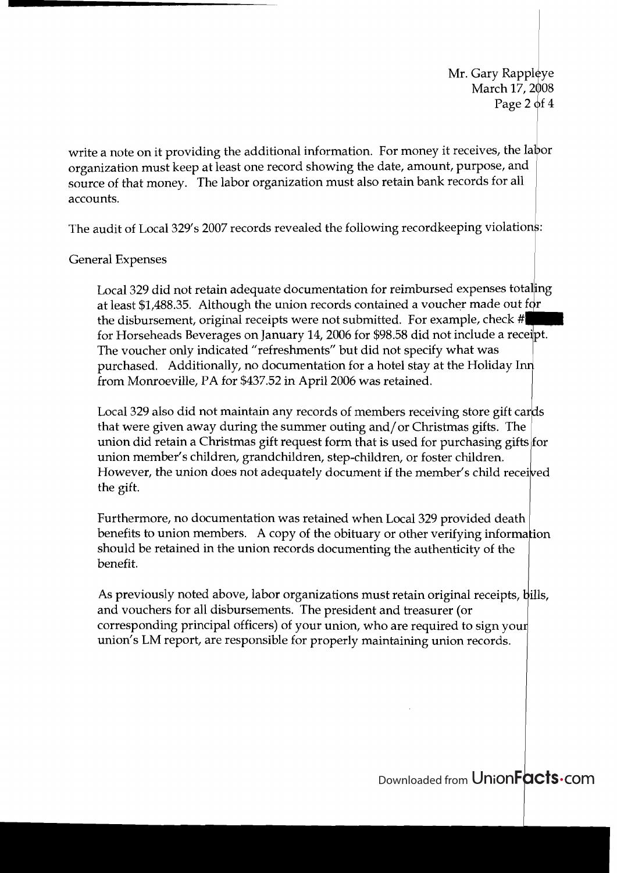Mr. Gary Rappleye March 17, 2008 Page 2 of  $4$ 

write a note on it providing the additional information. For money it receives, the labor organization must keep at least one record showing the date, amount, purpose, and source of that money. The labor organization must also retain bank records for all accounts.

The audit of Local 329's 2007 records revealed the following recordkeeping violations:

## General Expenses

Local 329 did not retain adequate documentation for reimbursed expenses totaling at least \$1,488.35. Although the union records contained a voucher made out for the disbursement, original receipts were not submitted. For example, check # for Horseheads Beverages on January 14,2006 for \$98.58 did not include a rece'pt. The voucher only indicated "refreshments" but did not specify what was purchased. Additionally, no documentation for a hotel stay at the Holiday I from Monroeville, PA for \$437.52 in April 2006 was retained. ppleye<br>
7, 2008<br>
2 2 of 4<br>
2 labor<br>
d<br>
labor<br>
d<br>
l<br>
taling<br>
tfor<br>
teipt.<br>
nn<br>
ards<br>
ts for<br>
eived

Local 329 also did not maintain any records of members receiving store gift union did retain a Christmas gift request form that is used for purchasing that were given away during the summer outing and/or Christmas gifts. The union member's children, grandchildren, step-children, or foster children. However, the union does not adequately document if the member's child the gift.

Furthermore, no documentation was retained when Local 329 provided death benefits to union members. A copy of the obituary or other verifying information should be retained in the union records documenting the authenticity of the benefit.

As previously noted above, labor organizations must retain original receipts, bills, and vouchers for all disbursements. The president and treasurer (or corresponding principal officers) of your union, who are required to sign you union's LM report, are responsible for properly maintaining union records.